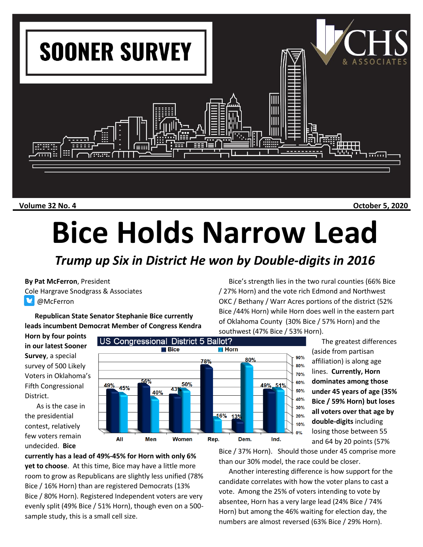

**Volume 32 No. 4 October 5, 2020**

## **Bice Holds Narrow Lead**

## *Trump up Six in District He won by Double-digits in 2016*

**By Pat McFerron**, President Cole Hargrave Snodgrass & Associates **McFerron** 

**Republican State Senator Stephanie Bice currently leads incumbent Democrat Member of Congress Kendra** 

**Horn by four points in our latest Sooner Survey**, a special survey of 500 Likely Voters in Oklahoma's Fifth Congressional District.

As is the case in the presidential contest, relatively few voters remain undecided. **Bice** 



of Oklahoma County (30% Bice / 57% Horn) and the southwest (47% Bice / 53% Horn). The greatest differences (aside from partisan affiliation) is along age lines. **Currently, Horn dominates among those under 45 years of age (35% Bice / 59% Horn) but loses all voters over that age by double-digits** including losing those between 55 and 64 by 20 points (57%

**currently has a lead of 49%-45% for Horn with only 6% yet to choose**. At this time, Bice may have a little more room to grow as Republicans are slightly less unified (78% Bice / 16% Horn) than are registered Democrats (13% Bice / 80% Horn). Registered Independent voters are very evenly split (49% Bice / 51% Horn), though even on a 500 sample study, this is a small cell size.

Bice / 37% Horn). Should those under 45 comprise more than our 30% model, the race could be closer.

Bice's strength lies in the two rural counties (66% Bice

/ 27% Horn) and the vote rich Edmond and Northwest OKC / Bethany / Warr Acres portions of the district (52% Bice /44% Horn) while Horn does well in the eastern part

Another interesting difference is how support for the candidate correlates with how the voter plans to cast a vote. Among the 25% of voters intending to vote by absentee, Horn has a very large lead (24% Bice / 74% Horn) but among the 46% waiting for election day, the numbers are almost reversed (63% Bice / 29% Horn).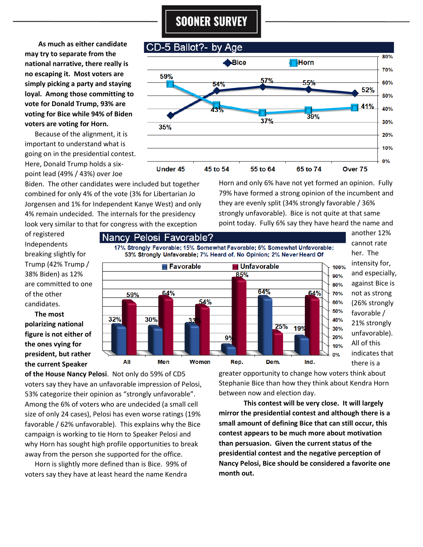## **SOONER SURVEY**

 **As much as either candidate may try to separate from the national narrative, there really is no escaping it. Most voters are simply picking a party and staying loyal. Among those committing to vote for Donald Trump, 93% are voting for Bice while 94% of Biden voters are voting for Horn.** 

Because of the alignment, it is important to understand what is going on in the presidential contest. Here, Donald Trump holds a sixpoint lead (49% / 43%) over Joe

Biden. The other candidates were included but together combined for only 4% of the vote (3% for Libertarian Jo Jorgensen and 1% for Independent Kanye West) and only 4% remain undecided. The internals for the presidency look very similar to that for congress with the exception

Horn and only 6% have not yet formed an opinion. Fully 79% have formed a strong opinion of the incumbent and they are evenly split (34% strongly favorable / 36% strongly unfavorable). Bice is not quite at that same point today. Fully 6% say they have heard the name and

of registered Independents breaking slightly for Trump (42% Trump / 38% Biden) as 12% are committed to one of the other candidates.

**The most polarizing national figure is not either of the ones vying for president, but rather the current Speaker** 



another 12% cannot rate her. The intensity for, and especially, against Bice is not as strong (26% strongly favorable / 21% strongly unfavorable). All of this indicates that there is a

**of the House Nancy Pelosi**. Not only do 59% of CD5 voters say they have an unfavorable impression of Pelosi, 53% categorize their opinion as "strongly unfavorable". Among the 6% of voters who are undecided (a small cell size of only 24 cases), Pelosi has even worse ratings (19% favorable / 62% unfavorable). This explains why the Bice campaign is working to tie Horn to Speaker Pelosi and why Horn has sought high profile opportunities to break away from the person she supported for the office.

Horn is slightly more defined than is Bice. 99% of voters say they have at least heard the name Kendra

greater opportunity to change how voters think about Stephanie Bice than how they think about Kendra Horn between now and election day.

**This contest will be very close. It will largely mirror the presidential contest and although there is a small amount of defining Bice that can still occur, this contest appears to be much more about motivation than persuasion. Given the current status of the presidential contest and the negative perception of Nancy Pelosi, Bice should be considered a favorite one month out.**